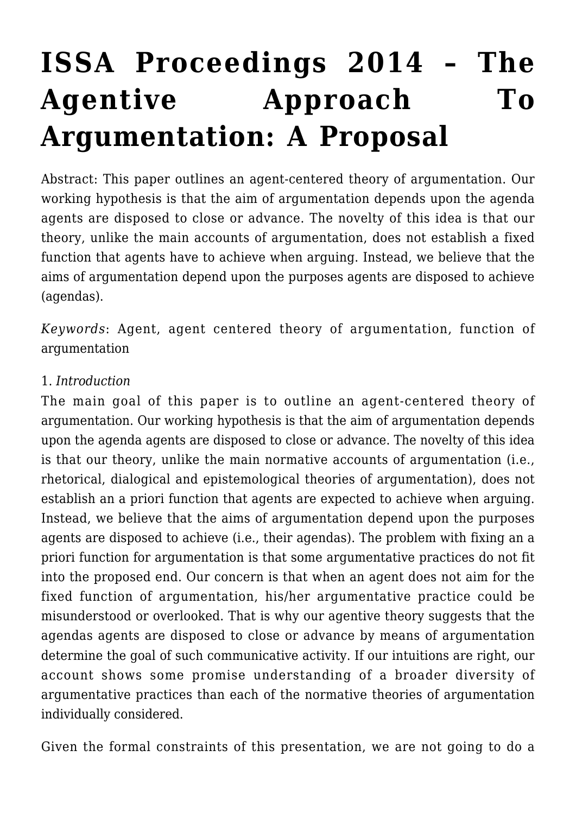# **[ISSA Proceedings 2014 – The](https://rozenbergquarterly.com/issa-proceedings-2014-the-agentive-approach-to-argumentation-a-proposal/) [Agentive Approach To](https://rozenbergquarterly.com/issa-proceedings-2014-the-agentive-approach-to-argumentation-a-proposal/) [Argumentation: A Proposal](https://rozenbergquarterly.com/issa-proceedings-2014-the-agentive-approach-to-argumentation-a-proposal/)**

Abstract: This paper outlines an agent-centered theory of argumentation. Our working hypothesis is that the aim of argumentation depends upon the agenda agents are disposed to close or advance. The novelty of this idea is that our theory, unlike the main accounts of argumentation, does not establish a fixed function that agents have to achieve when arguing. Instead, we believe that the aims of argumentation depend upon the purposes agents are disposed to achieve (agendas).

*Keywords*: Agent, agent centered theory of argumentation, function of argumentation

#### 1. *Introduction*

The main goal of this paper is to outline an agent-centered theory of argumentation. Our working hypothesis is that the aim of argumentation depends upon the agenda agents are disposed to close or advance. The novelty of this idea is that our theory, unlike the main normative accounts of argumentation (i.e., rhetorical, dialogical and epistemological theories of argumentation), does not establish an a priori function that agents are expected to achieve when arguing. Instead, we believe that the aims of argumentation depend upon the purposes agents are disposed to achieve (i.e., their agendas). The problem with fixing an a priori function for argumentation is that some argumentative practices do not fit into the proposed end. Our concern is that when an agent does not aim for the fixed function of argumentation, his/her argumentative practice could be misunderstood or overlooked. That is why our agentive theory suggests that the agendas agents are disposed to close or advance by means of argumentation determine the goal of such communicative activity. If our intuitions are right, our account shows some promise understanding of a broader diversity of argumentative practices than each of the normative theories of argumentation individually considered.

Given the formal constraints of this presentation, we are not going to do a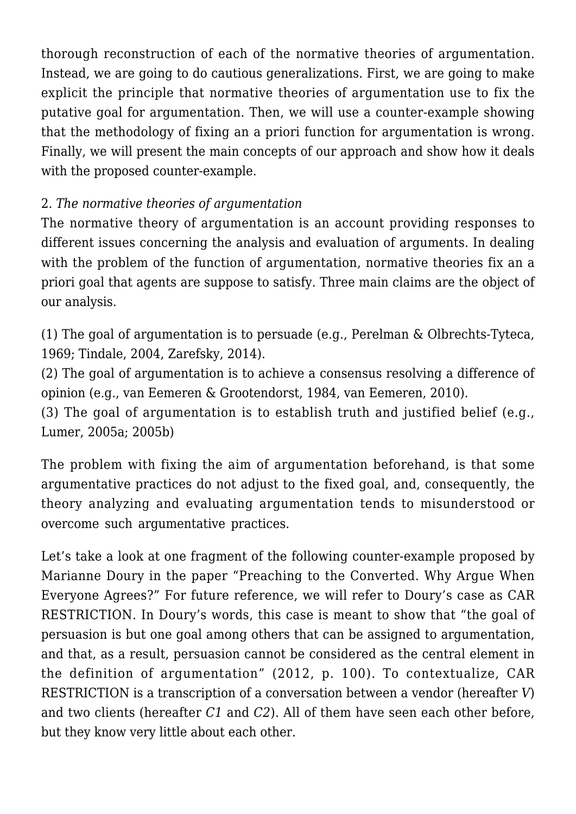thorough reconstruction of each of the normative theories of argumentation. Instead, we are going to do cautious generalizations. First, we are going to make explicit the principle that normative theories of argumentation use to fix the putative goal for argumentation. Then, we will use a counter-example showing that the methodology of fixing an a priori function for argumentation is wrong. Finally, we will present the main concepts of our approach and show how it deals with the proposed counter-example.

## 2. *The normative theories of argumentation*

The normative theory of argumentation is an account providing responses to different issues concerning the analysis and evaluation of arguments. In dealing with the problem of the function of argumentation, normative theories fix an a priori goal that agents are suppose to satisfy. Three main claims are the object of our analysis.

(1) The goal of argumentation is to persuade (e.g., Perelman & Olbrechts-Tyteca, 1969; Tindale, 2004, Zarefsky, 2014).

(2) The goal of argumentation is to achieve a consensus resolving a difference of opinion (e.g., van Eemeren & Grootendorst, 1984, van Eemeren, 2010).

(3) The goal of argumentation is to establish truth and justified belief (e.g., Lumer, 2005a; 2005b)

The problem with fixing the aim of argumentation beforehand, is that some argumentative practices do not adjust to the fixed goal, and, consequently, the theory analyzing and evaluating argumentation tends to misunderstood or overcome such argumentative practices.

Let's take a look at one fragment of the following counter-example proposed by Marianne Doury in the paper "Preaching to the Converted. Why Argue When Everyone Agrees?" For future reference, we will refer to Doury's case as CAR RESTRICTION. In Doury's words, this case is meant to show that "the goal of persuasion is but one goal among others that can be assigned to argumentation, and that, as a result, persuasion cannot be considered as the central element in the definition of argumentation" (2012, p. 100). To contextualize, CAR RESTRICTION is a transcription of a conversation between a vendor (hereafter *V*) and two clients (hereafter *C1* and *C2*). All of them have seen each other before, but they know very little about each other.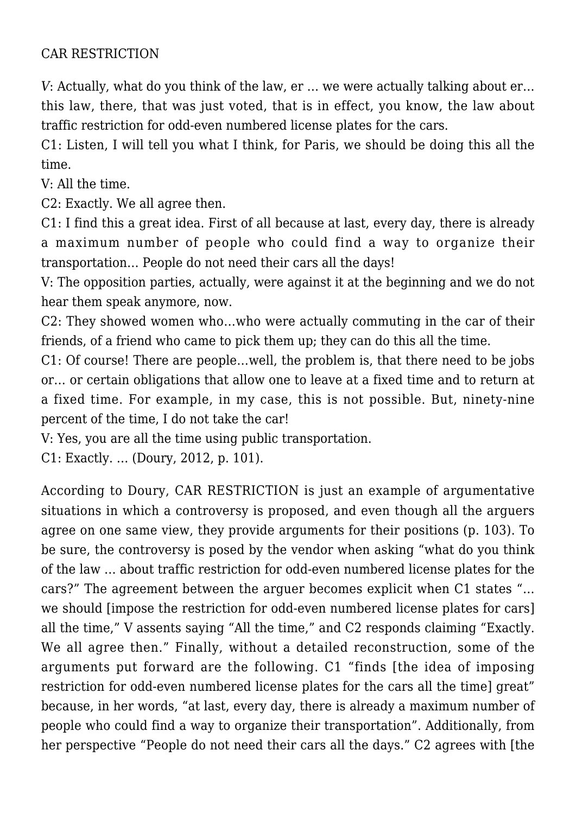#### CAR RESTRICTION

*V*: Actually, what do you think of the law, er … we were actually talking about er… this law, there, that was just voted, that is in effect, you know, the law about traffic restriction for odd-even numbered license plates for the cars.

C1: Listen, I will tell you what I think, for Paris, we should be doing this all the time.

V: All the time.

C2: Exactly. We all agree then.

C1: I find this a great idea. First of all because at last, every day, there is already a maximum number of people who could find a way to organize their transportation… People do not need their cars all the days!

V: The opposition parties, actually, were against it at the beginning and we do not hear them speak anymore, now.

C2: They showed women who…who were actually commuting in the car of their friends, of a friend who came to pick them up; they can do this all the time.

C1: Of course! There are people…well, the problem is, that there need to be jobs or… or certain obligations that allow one to leave at a fixed time and to return at a fixed time. For example, in my case, this is not possible. But, ninety-nine percent of the time, I do not take the car!

V: Yes, you are all the time using public transportation.

C1: Exactly. … (Doury, 2012, p. 101).

According to Doury, CAR RESTRICTION is just an example of argumentative situations in which a controversy is proposed, and even though all the arguers agree on one same view, they provide arguments for their positions (p. 103). To be sure, the controversy is posed by the vendor when asking "what do you think of the law … about traffic restriction for odd-even numbered license plates for the cars?" The agreement between the arguer becomes explicit when C1 states "… we should [impose the restriction for odd-even numbered license plates for cars] all the time," V assents saying "All the time," and C2 responds claiming "Exactly. We all agree then." Finally, without a detailed reconstruction, some of the arguments put forward are the following. C1 "finds [the idea of imposing restriction for odd-even numbered license plates for the cars all the time] great" because, in her words, "at last, every day, there is already a maximum number of people who could find a way to organize their transportation". Additionally, from her perspective "People do not need their cars all the days." C2 agrees with [the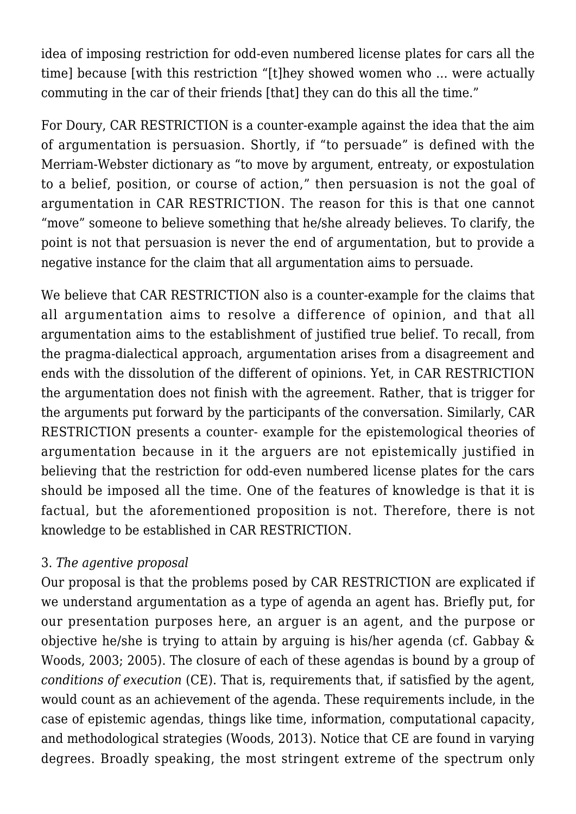idea of imposing restriction for odd-even numbered license plates for cars all the time] because [with this restriction "[t]hey showed women who … were actually commuting in the car of their friends [that] they can do this all the time."

For Doury, CAR RESTRICTION is a counter-example against the idea that the aim of argumentation is persuasion. Shortly, if "to persuade" is defined with the Merriam-Webster dictionary as "to move by argument, entreaty, or expostulation to a belief, position, or course of action," then persuasion is not the goal of argumentation in CAR RESTRICTION. The reason for this is that one cannot "move" someone to believe something that he/she already believes. To clarify, the point is not that persuasion is never the end of argumentation, but to provide a negative instance for the claim that all argumentation aims to persuade.

We believe that CAR RESTRICTION also is a counter-example for the claims that all argumentation aims to resolve a difference of opinion, and that all argumentation aims to the establishment of justified true belief. To recall, from the pragma-dialectical approach, argumentation arises from a disagreement and ends with the dissolution of the different of opinions. Yet, in CAR RESTRICTION the argumentation does not finish with the agreement. Rather, that is trigger for the arguments put forward by the participants of the conversation. Similarly, CAR RESTRICTION presents a counter- example for the epistemological theories of argumentation because in it the arguers are not epistemically justified in believing that the restriction for odd-even numbered license plates for the cars should be imposed all the time. One of the features of knowledge is that it is factual, but the aforementioned proposition is not. Therefore, there is not knowledge to be established in CAR RESTRICTION.

### 3. *The agentive proposal*

Our proposal is that the problems posed by CAR RESTRICTION are explicated if we understand argumentation as a type of agenda an agent has. Briefly put, for our presentation purposes here, an arguer is an agent, and the purpose or objective he/she is trying to attain by arguing is his/her agenda (cf. Gabbay & Woods, 2003; 2005). The closure of each of these agendas is bound by a group of *conditions of execution* (CE). That is, requirements that, if satisfied by the agent, would count as an achievement of the agenda. These requirements include, in the case of epistemic agendas, things like time, information, computational capacity, and methodological strategies (Woods, 2013). Notice that CE are found in varying degrees. Broadly speaking, the most stringent extreme of the spectrum only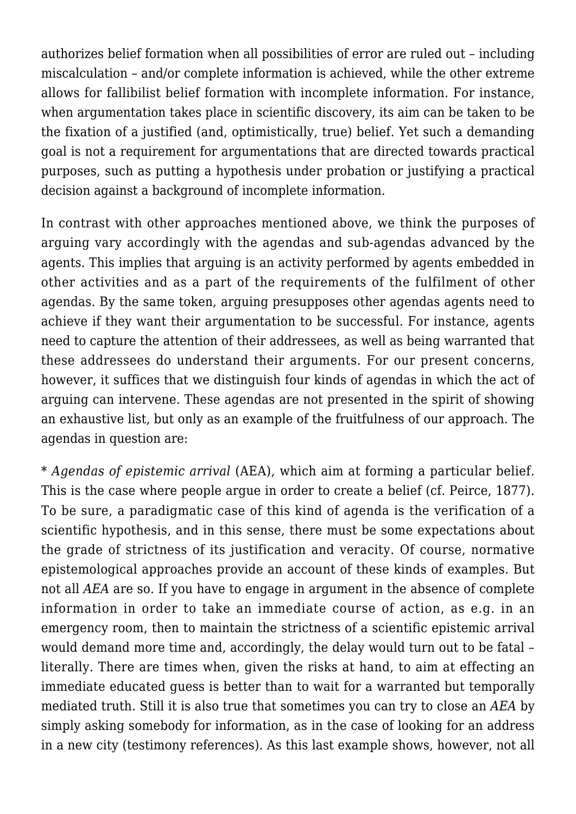authorizes belief formation when all possibilities of error are ruled out – including miscalculation – and/or complete information is achieved, while the other extreme allows for fallibilist belief formation with incomplete information. For instance, when argumentation takes place in scientific discovery, its aim can be taken to be the fixation of a justified (and, optimistically, true) belief. Yet such a demanding goal is not a requirement for argumentations that are directed towards practical purposes, such as putting a hypothesis under probation or justifying a practical decision against a background of incomplete information.

In contrast with other approaches mentioned above, we think the purposes of arguing vary accordingly with the agendas and sub-agendas advanced by the agents. This implies that arguing is an activity performed by agents embedded in other activities and as a part of the requirements of the fulfilment of other agendas. By the same token, arguing presupposes other agendas agents need to achieve if they want their argumentation to be successful. For instance, agents need to capture the attention of their addressees, as well as being warranted that these addressees do understand their arguments. For our present concerns, however, it suffices that we distinguish four kinds of agendas in which the act of arguing can intervene. These agendas are not presented in the spirit of showing an exhaustive list, but only as an example of the fruitfulness of our approach. The agendas in question are:

\* *Agendas of epistemic arrival* (AEA), which aim at forming a particular belief. This is the case where people argue in order to create a belief (cf. Peirce, 1877). To be sure, a paradigmatic case of this kind of agenda is the verification of a scientific hypothesis, and in this sense, there must be some expectations about the grade of strictness of its justification and veracity. Of course, normative epistemological approaches provide an account of these kinds of examples. But not all *AEA* are so. If you have to engage in argument in the absence of complete information in order to take an immediate course of action, as e.g. in an emergency room, then to maintain the strictness of a scientific epistemic arrival would demand more time and, accordingly, the delay would turn out to be fatal – literally. There are times when, given the risks at hand, to aim at effecting an immediate educated guess is better than to wait for a warranted but temporally mediated truth. Still it is also true that sometimes you can try to close an *AEA* by simply asking somebody for information, as in the case of looking for an address in a new city (testimony references). As this last example shows, however, not all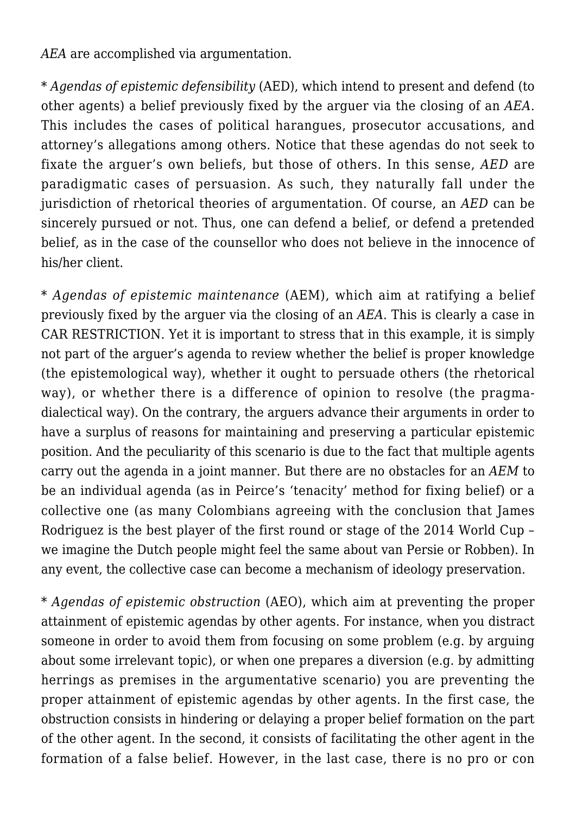*AEA* are accomplished via argumentation.

\* *Agendas of epistemic defensibility* (AED), which intend to present and defend (to other agents) a belief previously fixed by the arguer via the closing of an *AEA*. This includes the cases of political harangues, prosecutor accusations, and attorney's allegations among others. Notice that these agendas do not seek to fixate the arguer's own beliefs, but those of others. In this sense, *AED* are paradigmatic cases of persuasion. As such, they naturally fall under the jurisdiction of rhetorical theories of argumentation. Of course, an *AED* can be sincerely pursued or not. Thus, one can defend a belief, or defend a pretended belief, as in the case of the counsellor who does not believe in the innocence of his/her client.

\* *Agendas of epistemic maintenance* (AEM), which aim at ratifying a belief previously fixed by the arguer via the closing of an *AEA*. This is clearly a case in CAR RESTRICTION. Yet it is important to stress that in this example, it is simply not part of the arguer's agenda to review whether the belief is proper knowledge (the epistemological way), whether it ought to persuade others (the rhetorical way), or whether there is a difference of opinion to resolve (the pragmadialectical way). On the contrary, the arguers advance their arguments in order to have a surplus of reasons for maintaining and preserving a particular epistemic position. And the peculiarity of this scenario is due to the fact that multiple agents carry out the agenda in a joint manner. But there are no obstacles for an *AEM* to be an individual agenda (as in Peirce's 'tenacity' method for fixing belief) or a collective one (as many Colombians agreeing with the conclusion that James Rodriguez is the best player of the first round or stage of the 2014 World Cup – we imagine the Dutch people might feel the same about van Persie or Robben). In any event, the collective case can become a mechanism of ideology preservation.

\* *Agendas of epistemic obstruction* (AEO), which aim at preventing the proper attainment of epistemic agendas by other agents. For instance, when you distract someone in order to avoid them from focusing on some problem (e.g. by arguing about some irrelevant topic), or when one prepares a diversion (e.g. by admitting herrings as premises in the argumentative scenario) you are preventing the proper attainment of epistemic agendas by other agents. In the first case, the obstruction consists in hindering or delaying a proper belief formation on the part of the other agent. In the second, it consists of facilitating the other agent in the formation of a false belief. However, in the last case, there is no pro or con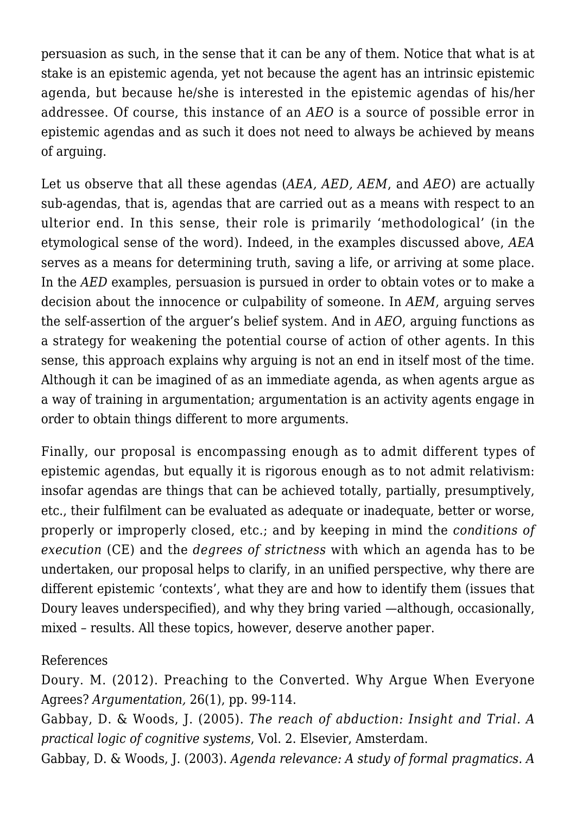persuasion as such, in the sense that it can be any of them. Notice that what is at stake is an epistemic agenda, yet not because the agent has an intrinsic epistemic agenda, but because he/she is interested in the epistemic agendas of his/her addressee. Of course, this instance of an *AEO* is a source of possible error in epistemic agendas and as such it does not need to always be achieved by means of arguing.

Let us observe that all these agendas (*AEA, AED, AEM*, and *AEO*) are actually sub-agendas, that is, agendas that are carried out as a means with respect to an ulterior end. In this sense, their role is primarily 'methodological' (in the etymological sense of the word). Indeed, in the examples discussed above, *AEA* serves as a means for determining truth, saving a life, or arriving at some place. In the *AED* examples, persuasion is pursued in order to obtain votes or to make a decision about the innocence or culpability of someone. In *AEM*, arguing serves the self-assertion of the arguer's belief system. And in *AEO*, arguing functions as a strategy for weakening the potential course of action of other agents. In this sense, this approach explains why arguing is not an end in itself most of the time. Although it can be imagined of as an immediate agenda, as when agents argue as a way of training in argumentation; argumentation is an activity agents engage in order to obtain things different to more arguments.

Finally, our proposal is encompassing enough as to admit different types of epistemic agendas, but equally it is rigorous enough as to not admit relativism: insofar agendas are things that can be achieved totally, partially, presumptively, etc., their fulfilment can be evaluated as adequate or inadequate, better or worse, properly or improperly closed, etc.; and by keeping in mind the *conditions of execution* (CE) and the *degrees of strictness* with which an agenda has to be undertaken, our proposal helps to clarify, in an unified perspective, why there are different epistemic 'contexts', what they are and how to identify them (issues that Doury leaves underspecified), and why they bring varied —although, occasionally, mixed – results. All these topics, however, deserve another paper.

#### References

Doury. M. (2012). Preaching to the Converted. Why Argue When Everyone Agrees? *Argumentation,* 26(1), pp. 99-114.

Gabbay, D. & Woods, J. (2005). *The reach of abduction: Insight and Trial. A practical logic of cognitive systems*, Vol. 2. Elsevier, Amsterdam.

Gabbay, D. & Woods, J. (2003). *Agenda relevance: A study of formal pragmatics. A*